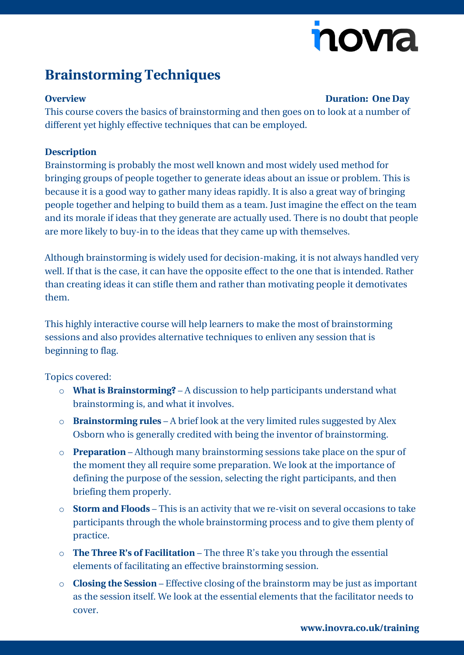# novia

## **Brainstorming Techniques**

#### **Overview Duration: One Day**

This course covers the basics of brainstorming and then goes on to look at a number of different yet highly effective techniques that can be employed.

#### **Description**

Brainstorming is probably the most well known and most widely used method for bringing groups of people together to generate ideas about an issue or problem. This is because it is a good way to gather many ideas rapidly. It is also a great way of bringing people together and helping to build them as a team. Just imagine the effect on the team and its morale if ideas that they generate are actually used. There is no doubt that people are more likely to buy-in to the ideas that they came up with themselves.

Although brainstorming is widely used for decision-making, it is not always handled very well. If that is the case, it can have the opposite effect to the one that is intended. Rather than creating ideas it can stifle them and rather than motivating people it demotivates them.

This highly interactive course will help learners to make the most of brainstorming sessions and also provides alternative techniques to enliven any session that is beginning to flag.

### Topics covered:

- o **What is Brainstorming?** A discussion to help participants understand what brainstorming is, and what it involves.
- o **Brainstorming rules** A brief look at the very limited rules suggested by Alex Osborn who is generally credited with being the inventor of brainstorming.
- o **Preparation** Although many brainstorming sessions take place on the spur of the moment they all require some preparation. We look at the importance of defining the purpose of the session, selecting the right participants, and then briefing them properly.
- o **Storm and Floods** This is an activity that we re-visit on several occasions to take participants through the whole brainstorming process and to give them plenty of practice.
- o **The Three R's of Facilitation** The three R's take you through the essential elements of facilitating an effective brainstorming session.
- o **Closing the Session** Effective closing of the brainstorm may be just as important as the session itself. We look at the essential elements that the facilitator needs to cover.